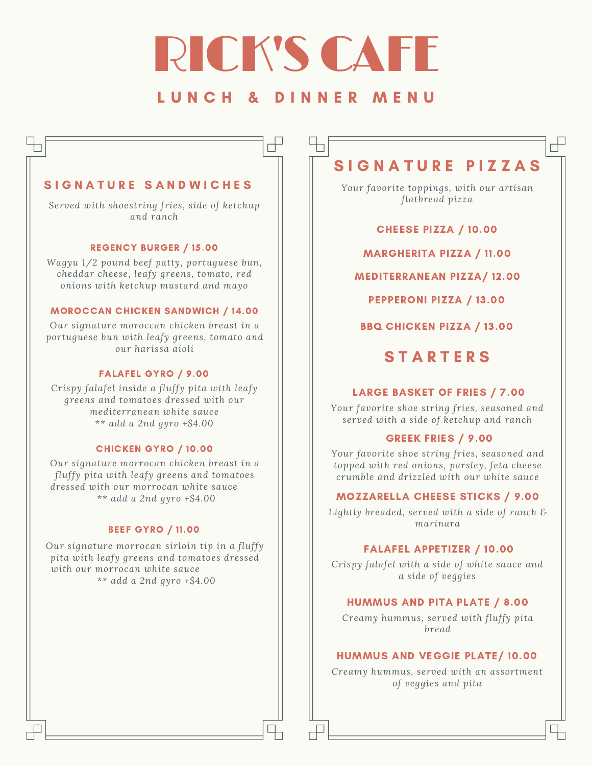# **RICK'S CAF**

### L U N C H & D I N N E R M E N U

 $\overline{\mathbb{F}}$ 

### S I G N A T U R E S A N D W I C H E S

*Served with shoestring fries, side of ketchup and ranch*

### REGENCY BURGER / 15.00

*Wagyu 1/2 pound beef patty, portuguese bun, cheddar cheese, leafy greens, tomato, red onions with ketchup mustard and mayo*

### MOROCCAN CHICKEN SANDWICH / 14.00

*Our signature moroccan chicken breast in a portuguese bun with leafy greens, tomato and our harissa aioli*

### FALAFEL GYRO / 9.00

*Crispy falafel inside a fluffy pita with leafy greens and tomatoes dressed with our mediterranean white sauce \*\* add a 2nd gyro +\$4.00*

### CHICKEN GYRO / 10.00

*Our signature morrocan chicken breast in a fluffy pita with leafy greens and tomatoes dressed with our morrocan white sauce \*\* add a 2nd gyro +\$4.00*

### BEEF GYRO / 11.00

*Our signature morrocan sirloin tip in a fluffy pita with leafy greens and tomatoes dressed with our morrocan white sauce \*\* add a 2nd gyro +\$4.00*

# SIGNATURE PIZZAS

 $\overline{\phantom{a}}$ 

*Your favorite toppings, with our artisan flatbread pizza*

CHEESE PIZZA / 10.00

MARGHERITA PIZZA / 11.00

MEDITERRANEAN PIZZA/ 12.00

PEPPERONI PIZZA / 13.00

BBQ CHICKEN PIZZA / 13.00

# **STARTERS**

### LARGE BASKET OF FRIES / 7.00

*Your favorite shoe string fries, seasoned and served with a side of ketchup and ranch*

### GREEK FRIES / 9.00

*Your favorite shoe string fries, seasoned and topped with red onions, parsley, feta cheese crumble and drizzled with our white sauce*

### MOZZARELLA CHEESE STICKS / 9.00

*Lightly breaded, served with a side of ranch & marinara*

### FALAFEL APPETIZER / 10.00

*Crispy falafel with a side of white sauce and a side of veggies*

### HUMMUS AND PITA PLATE / 8.00

*Creamy hummus, served with fluffy pita bread*

### HUMMUS AND VEGGIE PLATE/ 10.00

*Creamy hummus, served with an assortment of veggies and pita*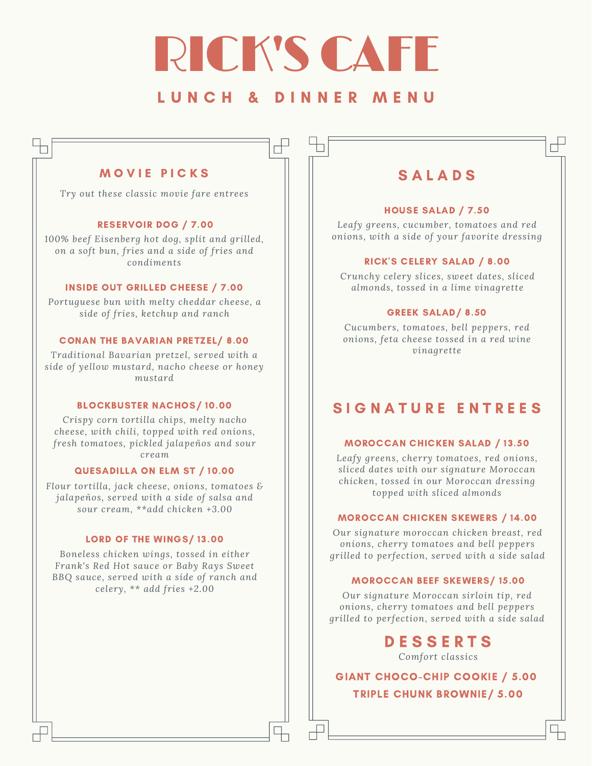# RICK'S CAFE

## L U N C H & D I N N E R M E N U

╓

### MOVIE PICKS

n

*Try out these classic movie fare entrees*

### RESERVOIR DOG / 7.00

*100% beef Eisenberg hot dog, split and grilled, on a soft bun, fries and a side of fries and condiments*

### INSIDE OUT GRILLED CHEESE / 7.00

*Portuguese bun with melty cheddar cheese, a side of fries, ketchup and ranch*

### CONAN THE BAVARIAN PRETZEL/ 8.00

*Traditional Bavarian pretzel, served with a side of yellow mustard, nacho cheese or honey mustard*

### BLOCKBUSTER NACHOS/ 10.00

*Crispy corn tortilla chips, melty nacho cheese, with chili, topped with red onions, fresh tomatoes, pickled jalapeños and sour cream*

### QUESADILLA ON ELM ST / 10.00

*Flour tortilla, jack cheese, onions, tomatoes & jalapeños, served with a side of salsa and sour cream, \*\*add chicken +3.00*

### LORD OF THE WINGS/ 13.00

*Boneless chicken wings, tossed in either Frank's Red Hot sauce or Baby Rays Sweet BBQ sauce, served with a side of ranch and celery, \*\* add fries +2.00*

### **SALADS**

╓╫

### HOUSE SALAD / 7.50

*Leafy greens, cucumber, tomatoes and red onions, with a side of your favorite dressing*

### RICK'S CELERY SALAD / 8.00

*Crunchy celery slices, sweet dates, sliced almonds, tossed in a lime vinagrette*

### GREEK SALAD/ 8.50

*Cucumbers, tomatoes, bell peppers, red onions, feta cheese tossed in a red wine vinagrette*

### SIGNATURE ENTREES

### MOROCCAN CHICKEN SALAD / 13.50

*Leafy greens, cherry tomatoes, red onions, sliced dates with our signature Moroccan chicken, tossed in our Moroccan dressing topped with sliced almonds*

#### MOROCCAN CHICKEN SKEWERS / 14.00

*Our signature moroccan chicken breast, red onions, cherry tomatoes and bell peppers grilled to perfection, served with a side salad*

### MOROCCAN BEEF SKEWERS/ 15.00

*Our signature Moroccan sirloin tip, red onions, cherry tomatoes and bell peppers grilled to perfection, served with a side salad*

### D E S S E R T S

*Comfort classics*

GIANT CHOCO-CHIP COOKIE / 5.00 TRIPLE CHUNK BROWNIE/ 5.00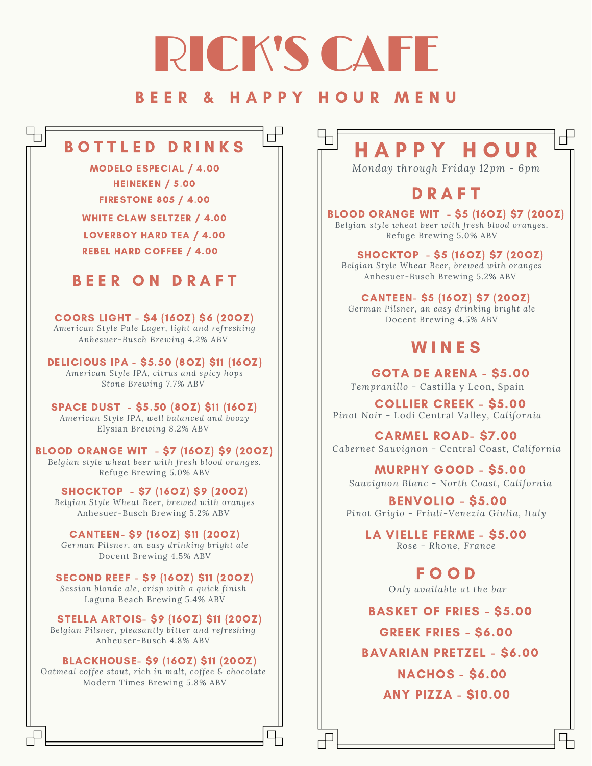# RICK'S CAFE

## B E E R & H A P P Y H O U R M E N U

h

┌╄

# B O T T L E D D R I N K S

MODELO ESPECIAL / 4.00 HEINEKEN / 5.00 FIRESTONE 805 / 4.00

LOVERBOY HARD TEA / 4.00 WHITE CLAW SELTZER / 4.00 REBEL HARD COFFEE / 4.00

# BEER ON DRAFT

COORS LIGHT - \$4 (16OZ) \$6 (20OZ)

*American Style Pale Lager, light and refreshing Anhesuer-Busch Brewing 4.2% ABV*

DELICIOUS IPA - \$5.50 (8OZ) \$11 (16OZ) *American Style IPA, citrus and spicy hops Stone Brewing 7.7% ABV*

SPACE DUST - \$5.50 (8OZ) \$11 (16OZ) *American Style IPA, well balanced and boozy* Elysian *Brewing 8.2% ABV*

BLOOD ORANGE WIT - \$7 (16OZ) \$9 (20OZ) *Belgian style wheat beer with fresh blood oranges.* Refuge Brewing 5.0% ABV

SHOCKTOP - \$7 (16OZ) \$9 (20OZ) *Belgian Style Wheat Beer, brewed with oranges* Anhesuer-Busch Brewing 5.2% ABV

CANTEEN- \$9 (16OZ) \$11 (20OZ) *German Pilsner, an easy drinking bright ale* Docent Brewing 4.5% ABV

SECOND REEF - \$9 (16OZ) \$11 (20OZ) *Session blonde ale, crisp with a quick finish* Laguna Beach Brewing 5.4% ABV

STELLA ARTOIS- \$9 (16OZ) \$11 (20OZ) *Belgian Pilsner, pleasantly bitter and refreshing* Anheuser-Busch 4.8% ABV

BLACKHOUSE- \$9 (16OZ) \$11 (20OZ) *Oatmeal coffee stout, rich in malt, coffee & chocolate* Modern Times Brewing 5.8% ABV

# H A P P Y H O U R

 $\mathbb{R}^+$ 

*Monday through Friday 12pm - 6pm*

# **D R A F T**

BLOOD ORANGE WIT - \$5 (16OZ) \$7 (20OZ) *Belgian style wheat beer with fresh blood oranges.* Refuge Brewing 5.0% ABV

SHOCKTOP - \$5 (16OZ) \$7 (20OZ)

*Belgian Style Wheat Beer, brewed with oranges* Anhesuer-Busch Brewing 5.2% ABV

CANTEEN- \$5 (16OZ) \$7 (20OZ) *German Pilsner, an easy drinking bright ale*

Docent Brewing 4.5% ABV

# **WINES**

GOTA DE ARENA - \$5.00 *Tempranillo -* Castilla y Leon, Spain

COLLIER CREEK - \$5.00 *Pinot Noir -* Lodi Central Valley*, California*

CARMEL ROAD- \$7.00 *Cabernet Sauvignon -* Central Coast*, California*

MURPHY GOOD - \$5.00 *Sauvignon Blanc - North Coast, California*

BENVOLIO - \$5.00 *Pinot Grigio - Friuli-Venezia Giulia, Italy*

LA VIELLE FERME - \$5.00 *Rose - Rhone, France*

> F O O D *Only available at the bar*

BASKET OF FRIES - \$5.00

GREEK FRIES - \$6.00

BAVARIAN PRETZEL - \$6.00

ANY PIZZA - \$10.00 NACHOS - \$6.00